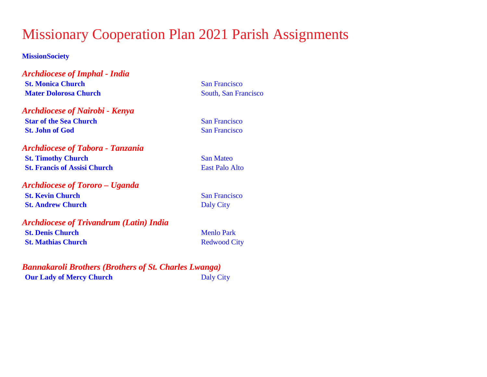# Missionary Cooperation Plan 2021 Parish Assignments

### **MissionSociety**

*Archdiocese of Imphal - India* **St. Monica Church** San Francisco **Mater Dolorosa Church** South, San Francisco

*Archdiocese of Nairobi - Kenya* **Star of the Sea Church** San Francisco **St. John of God** San Francisco

*Archdiocese of Tabora - Tanzania* **St. Timothy Church** San Mateo **St. Francis of Assisi Church** East Palo Alto

*Archdiocese of Tororo – Uganda* **St. Kevin Church** San Francisco **St. Andrew Church** Daly City

*Archdiocese of Trivandrum (Latin) India* **St. Denis Church** Menlo Park **St. Mathias Church** Redwood City

*Bannakaroli Brothers (Brothers of St. Charles Lwanga)* **Our Lady of Mercy Church** Daly City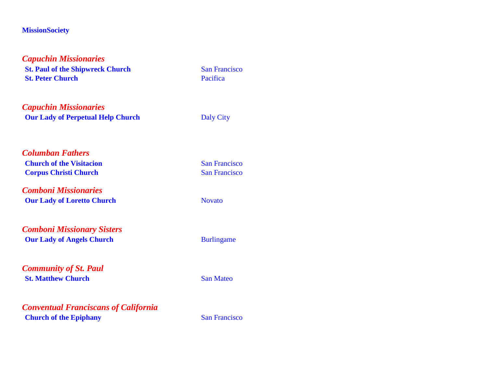| <b>Capuchin Missionaries</b>                |                      |  |
|---------------------------------------------|----------------------|--|
| <b>St. Paul of the Shipwreck Church</b>     | <b>San Francisco</b> |  |
| <b>St. Peter Church</b>                     | Pacifica             |  |
| <b>Capuchin Missionaries</b>                |                      |  |
| <b>Our Lady of Perpetual Help Church</b>    | <b>Daly City</b>     |  |
| <b>Columban Fathers</b>                     |                      |  |
| <b>Church of the Visitacion</b>             | <b>San Francisco</b> |  |
| <b>Corpus Christi Church</b>                | <b>San Francisco</b> |  |
| <b>Comboni Missionaries</b>                 |                      |  |
| <b>Our Lady of Loretto Church</b>           | <b>Novato</b>        |  |
| <b>Comboni Missionary Sisters</b>           |                      |  |
| <b>Our Lady of Angels Church</b>            | <b>Burlingame</b>    |  |
| <b>Community of St. Paul</b>                |                      |  |
| <b>St. Matthew Church</b>                   | <b>San Mateo</b>     |  |
| <b>Conventual Franciscans of California</b> |                      |  |
| <b>Church of the Epiphany</b>               | <b>San Francisco</b> |  |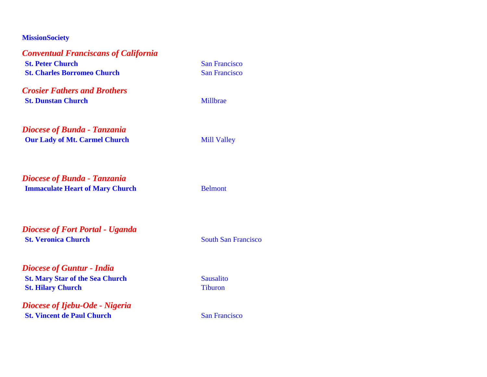| <b>Conventual Franciscans of California</b> |                      |
|---------------------------------------------|----------------------|
| <b>St. Peter Church</b>                     | <b>San Francisco</b> |
| <b>St. Charles Borromeo Church</b>          | <b>San Francisco</b> |
| <b>Crosier Fathers and Brothers</b>         |                      |
| <b>St. Dunstan Church</b>                   | Millbrae             |
| <b>Diocese of Bunda - Tanzania</b>          |                      |
| <b>Our Lady of Mt. Carmel Church</b>        | <b>Mill Valley</b>   |
|                                             |                      |
| <b>Diocese of Bunda - Tanzania</b>          |                      |
| <b>Immaculate Heart of Mary Church</b>      | <b>Belmont</b>       |
|                                             |                      |
|                                             |                      |

*Diocese of Fort Portal - Uganda* **St. Veronica Church** South San Francisco

*Diocese of Guntur - India* **St. Mary Star of the Sea Church** Sausalito **St. Hilary Church** Tiburon

*Diocese of Ijebu-Ode - Nigeria* **St. Vincent de Paul Church** San Francisco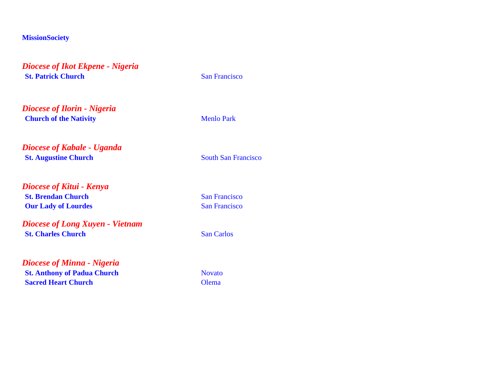*Diocese of Ikot Ekpene - Nigeria* **St. Patrick Church** San Francisco

*Diocese of Ilorin - Nigeria* **Church of the Nativity** Menlo Park

*Diocese of Kabale - Uganda* **St. Augustine Church** South San Francisco

*Diocese of Kitui - Kenya* **St. Brendan Church** San Francisco **Our Lady of Lourdes** San Francisco

*Diocese of Long Xuyen - Vietnam* **St. Charles Church** San Carlos

*Diocese of Minna - Nigeria* **St. Anthony of Padua Church** Novato **Sacred Heart Church Olema**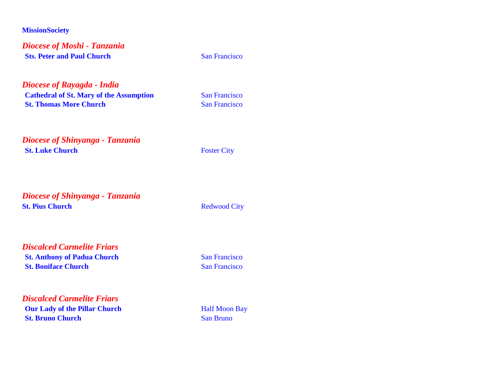*Diocese of Moshi - Tanzania* **Sts. Peter and Paul Church** San Francisco

*Diocese of Rayagda - India* **Cathedral of St. Mary of the Assumption** San Francisco **St. Thomas More Church** San Francisco

*Diocese of Shinyanga - Tanzania* **St. Luke Church** Foster City

*Diocese of Shinyanga - Tanzania* **St. Pius Church** Redwood City

*Discalced Carmelite Friars* **St. Anthony of Padua Church** San Francisco **St. Boniface Church** San Francisco

*Discalced Carmelite Friars* **Our Lady of the Pillar Church** Half Moon Bay **St. Bruno Church** San Bruno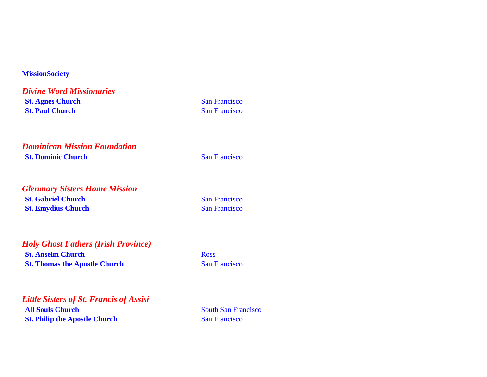*Divine Word Missionaries* **St. Agnes Church** San Francisco **St. Paul Church** San Francisco

*Dominican Mission Foundation* **St. Dominic Church** San Francisco

*Glenmary Sisters Home Mission* **St. Gabriel Church** San Francisco **St. Emydius Church** San Francisco

## *Holy Ghost Fathers (Irish Province)* **St. Anselm Church** Ross

**St. Thomas the Apostle Church** San Francisco

*Little Sisters of St. Francis of Assisi* **All Souls Church** South San Francisco **St. Philip the Apostle Church** San Francisco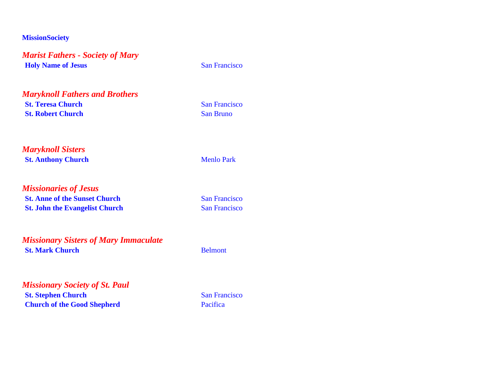*Marist Fathers - Society of Mary* **Holy Name of Jesus** San Francisco

*Maryknoll Fathers and Brothers* **St. Teresa Church** San Francisco **St. Robert Church** San Bruno

*Maryknoll Sisters* **St. Anthony Church** Menlo Park

*Missionaries of Jesus* **St. Anne of the Sunset Church** San Francisco **St. John the Evangelist Church** San Francisco

*Missionary Sisters of Mary Immaculate* **St. Mark Church** Belmont

*Missionary Society of St. Paul* **St. Stephen Church** San Francisco **Church of the Good Shepherd** Pacifica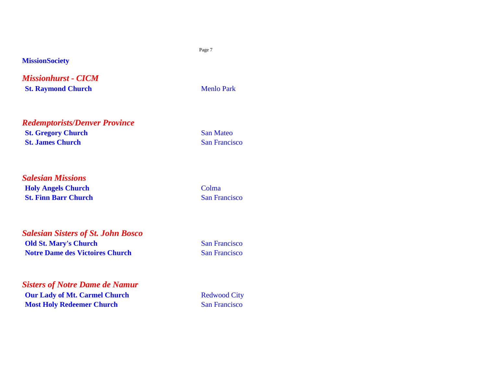*Missionhurst - CICM* **St. Raymond Church** Menlo Park

*Redemptorists/Denver Province* **St. Gregory Church** San Mateo **St. James Church** San Francisco

*Salesian Missions* **Holy Angels Church** Colma **St. Finn Barr Church** San Francisco

*Salesian Sisters of St. John Bosco* **Old St. Mary's Church** San Francisco **Notre Dame des Victoires Church** San Francisco

*Sisters of Notre Dame de Namur* **Our Lady of Mt. Carmel Church** Redwood City **Most Holy Redeemer Church** San Francisco

Page 7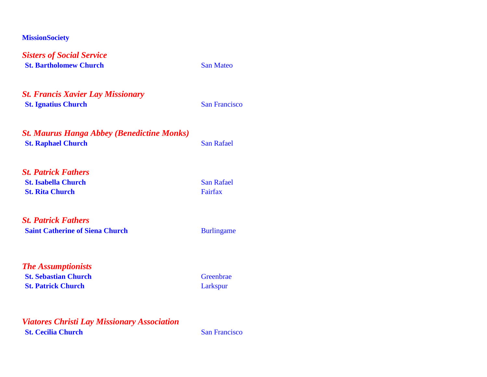*Sisters of Social Service* **St. Bartholomew Church** San Mateo

*St. Francis Xavier Lay Missionary* **St. Ignatius Church** San Francisco

*St. Maurus Hanga Abbey (Benedictine Monks)* **St. Raphael Church** San Rafael

*St. Patrick Fathers* **St. Isabella Church** San Rafael **St. Rita Church** Fairfax

*St. Patrick Fathers* **Saint Catherine of Siena Church** Burlingame

*The Assumptionists* **St. Sebastian Church** Greenbrae **St. Patrick Church** Larkspur

*Viatores Christi Lay Missionary Association* **St. Cecilia Church** San Francisco